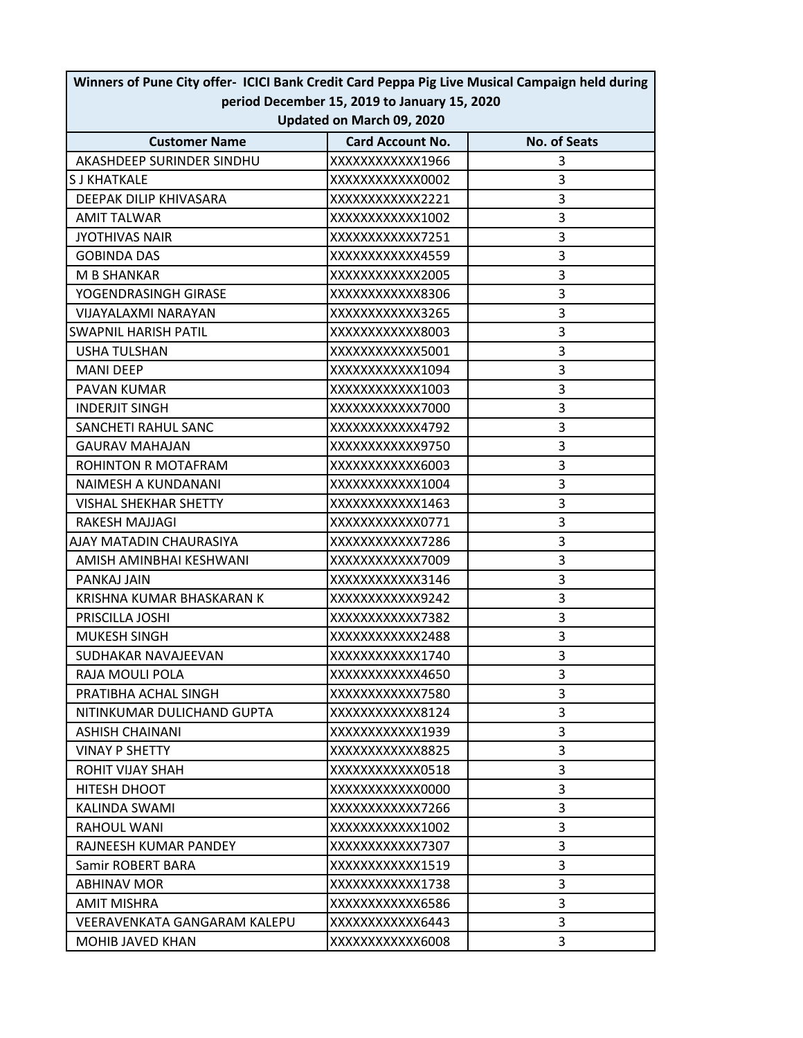| Winners of Pune City offer- ICICI Bank Credit Card Peppa Pig Live Musical Campaign held during |                         |                     |  |  |
|------------------------------------------------------------------------------------------------|-------------------------|---------------------|--|--|
| period December 15, 2019 to January 15, 2020                                                   |                         |                     |  |  |
| Updated on March 09, 2020                                                                      |                         |                     |  |  |
| <b>Customer Name</b>                                                                           | <b>Card Account No.</b> | <b>No. of Seats</b> |  |  |
| AKASHDEEP SURINDER SINDHU                                                                      | XXXXXXXXXXX1966         | 3                   |  |  |
| <b>S J KHATKALE</b>                                                                            | XXXXXXXXXXXX0002        | 3                   |  |  |
| DEEPAK DILIP KHIVASARA                                                                         | XXXXXXXXXXXX2221        | 3                   |  |  |
| <b>AMIT TALWAR</b>                                                                             | XXXXXXXXXXX1002         | 3                   |  |  |
| <b>JYOTHIVAS NAIR</b>                                                                          | XXXXXXXXXXX7251         | 3                   |  |  |
| <b>GOBINDA DAS</b>                                                                             | XXXXXXXXXXXX4559        | 3                   |  |  |
| <b>M B SHANKAR</b>                                                                             | XXXXXXXXXXXX2005        | 3                   |  |  |
| YOGENDRASINGH GIRASE                                                                           | XXXXXXXXXXXX8306        | 3                   |  |  |
| VIJAYALAXMI NARAYAN                                                                            | XXXXXXXXXXXX3265        | 3                   |  |  |
| <b>SWAPNIL HARISH PATIL</b>                                                                    | XXXXXXXXXXXX8003        | 3                   |  |  |
| <b>USHA TULSHAN</b>                                                                            | XXXXXXXXXXXX5001        | 3                   |  |  |
| <b>MANI DEEP</b>                                                                               | XXXXXXXXXXXX1094        | 3                   |  |  |
| <b>PAVAN KUMAR</b>                                                                             | XXXXXXXXXXX1003         | 3                   |  |  |
| <b>INDERJIT SINGH</b>                                                                          | XXXXXXXXXXXX7000        | 3                   |  |  |
| SANCHETI RAHUL SANC                                                                            | XXXXXXXXXXX4792         | 3                   |  |  |
| <b>GAURAV MAHAJAN</b>                                                                          | XXXXXXXXXXX9750         | 3                   |  |  |
| ROHINTON R MOTAFRAM                                                                            | XXXXXXXXXXXX6003        | 3                   |  |  |
| NAIMESH A KUNDANANI                                                                            | XXXXXXXXXXXX1004        | 3                   |  |  |
| <b>VISHAL SHEKHAR SHETTY</b>                                                                   | XXXXXXXXXXX1463         | 3                   |  |  |
| RAKESH MAJJAGI                                                                                 | XXXXXXXXXXXX0771        | 3                   |  |  |
| AJAY MATADIN CHAURASIYA                                                                        | XXXXXXXXXXX7286         | 3                   |  |  |
| AMISH AMINBHAI KESHWANI                                                                        | XXXXXXXXXXXX7009        | 3                   |  |  |
| PANKAJ JAIN                                                                                    | XXXXXXXXXXXX3146        | 3                   |  |  |
| KRISHNA KUMAR BHASKARAN K                                                                      | XXXXXXXXXXXX9242        | 3                   |  |  |
| PRISCILLA JOSHI                                                                                | XXXXXXXXXXXX7382        | 3                   |  |  |
| <b>MUKESH SINGH</b>                                                                            | XXXXXXXXXXXX2488        | 3                   |  |  |
| SUDHAKAR NAVAJEEVAN                                                                            | XXXXXXXXXXXX1740        | 3                   |  |  |
| RAJA MOULI POLA                                                                                | XXXXXXXXXXXX4650        | 3                   |  |  |
| PRATIBHA ACHAL SINGH                                                                           | XXXXXXXXXXXX7580        | 3                   |  |  |
| NITINKUMAR DULICHAND GUPTA                                                                     | XXXXXXXXXXXX8124        | 3                   |  |  |
| <b>ASHISH CHAINANI</b>                                                                         | XXXXXXXXXXX1939         | 3                   |  |  |
| <b>VINAY P SHETTY</b>                                                                          | XXXXXXXXXXXX8825        | 3                   |  |  |
| ROHIT VIJAY SHAH                                                                               | XXXXXXXXXXXX0518        | 3                   |  |  |
| HITESH DHOOT                                                                                   | XXXXXXXXXXXX0000        | 3                   |  |  |
| KALINDA SWAMI                                                                                  | XXXXXXXXXXXX7266        | 3                   |  |  |
| <b>RAHOUL WANI</b>                                                                             | XXXXXXXXXXXX1002        | 3                   |  |  |
| RAJNEESH KUMAR PANDEY                                                                          | XXXXXXXXXXXX7307        | 3                   |  |  |
| Samir ROBERT BARA                                                                              | XXXXXXXXXXX1519         | 3                   |  |  |
| <b>ABHINAV MOR</b>                                                                             | XXXXXXXXXXX1738         | 3                   |  |  |
| <b>AMIT MISHRA</b>                                                                             | XXXXXXXXXXXX6586        | 3                   |  |  |
| VEERAVENKATA GANGARAM KALEPU                                                                   |                         | 3                   |  |  |
|                                                                                                | XXXXXXXXXXX6443         | 3                   |  |  |